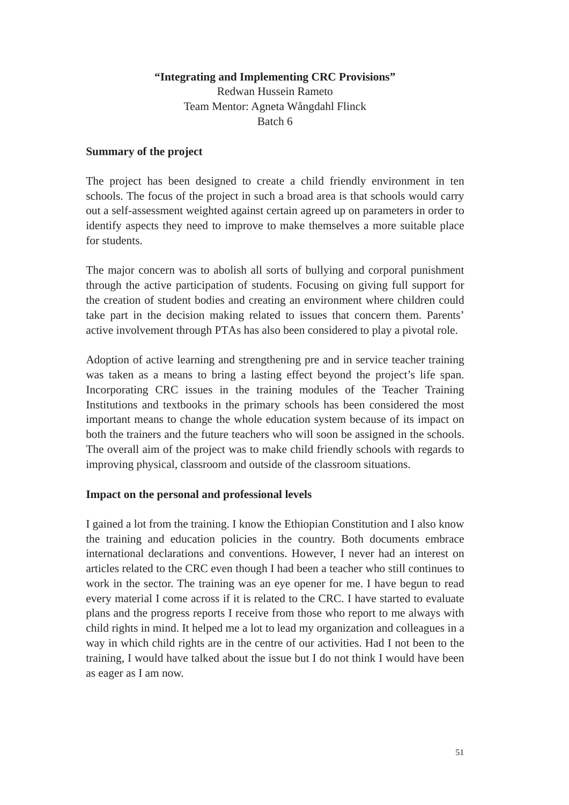## **"Integrating and Implementing CRC Provisions"**

Redwan Hussein Rameto Team Mentor: Agneta Wångdahl Flinck Batch 6

## **Summary of the project**

The project has been designed to create a child friendly environment in ten schools. The focus of the project in such a broad area is that schools would carry out a self-assessment weighted against certain agreed up on parameters in order to identify aspects they need to improve to make themselves a more suitable place for students.

The major concern was to abolish all sorts of bullying and corporal punishment through the active participation of students. Focusing on giving full support for the creation of student bodies and creating an environment where children could take part in the decision making related to issues that concern them. Parents' active involvement through PTAs has also been considered to play a pivotal role.

Adoption of active learning and strengthening pre and in service teacher training was taken as a means to bring a lasting effect beyond the project's life span. Incorporating CRC issues in the training modules of the Teacher Training Institutions and textbooks in the primary schools has been considered the most important means to change the whole education system because of its impact on both the trainers and the future teachers who will soon be assigned in the schools. The overall aim of the project was to make child friendly schools with regards to improving physical, classroom and outside of the classroom situations.

#### **Impact on the personal and professional levels**

I gained a lot from the training. I know the Ethiopian Constitution and I also know the training and education policies in the country. Both documents embrace international declarations and conventions. However, I never had an interest on articles related to the CRC even though I had been a teacher who still continues to work in the sector. The training was an eye opener for me. I have begun to read every material I come across if it is related to the CRC. I have started to evaluate plans and the progress reports I receive from those who report to me always with child rights in mind. It helped me a lot to lead my organization and colleagues in a way in which child rights are in the centre of our activities. Had I not been to the training, I would have talked about the issue but I do not think I would have been as eager as I am now.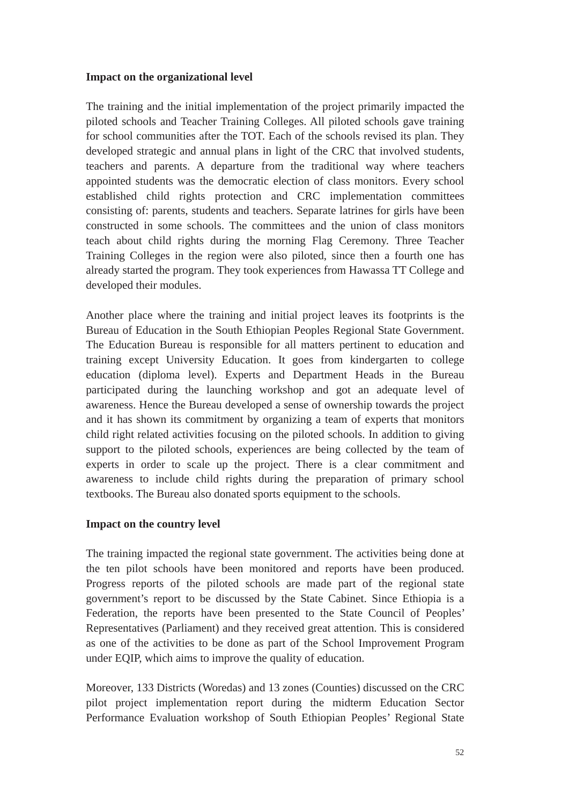# **Impact on the organizational level**

The training and the initial implementation of the project primarily impacted the piloted schools and Teacher Training Colleges. All piloted schools gave training for school communities after the TOT. Each of the schools revised its plan. They developed strategic and annual plans in light of the CRC that involved students, teachers and parents. A departure from the traditional way where teachers appointed students was the democratic election of class monitors. Every school established child rights protection and CRC implementation committees consisting of: parents, students and teachers. Separate latrines for girls have been constructed in some schools. The committees and the union of class monitors teach about child rights during the morning Flag Ceremony. Three Teacher Training Colleges in the region were also piloted, since then a fourth one has already started the program. They took experiences from Hawassa TT College and developed their modules.

Another place where the training and initial project leaves its footprints is the Bureau of Education in the South Ethiopian Peoples Regional State Government. The Education Bureau is responsible for all matters pertinent to education and training except University Education. It goes from kindergarten to college education (diploma level). Experts and Department Heads in the Bureau participated during the launching workshop and got an adequate level of awareness. Hence the Bureau developed a sense of ownership towards the project and it has shown its commitment by organizing a team of experts that monitors child right related activities focusing on the piloted schools. In addition to giving support to the piloted schools, experiences are being collected by the team of experts in order to scale up the project. There is a clear commitment and awareness to include child rights during the preparation of primary school textbooks. The Bureau also donated sports equipment to the schools.

## **Impact on the country level**

The training impacted the regional state government. The activities being done at the ten pilot schools have been monitored and reports have been produced. Progress reports of the piloted schools are made part of the regional state government's report to be discussed by the State Cabinet. Since Ethiopia is a Federation, the reports have been presented to the State Council of Peoples' Representatives (Parliament) and they received great attention. This is considered as one of the activities to be done as part of the School Improvement Program under EQIP, which aims to improve the quality of education.

Moreover, 133 Districts (Woredas) and 13 zones (Counties) discussed on the CRC pilot project implementation report during the midterm Education Sector Performance Evaluation workshop of South Ethiopian Peoples' Regional State